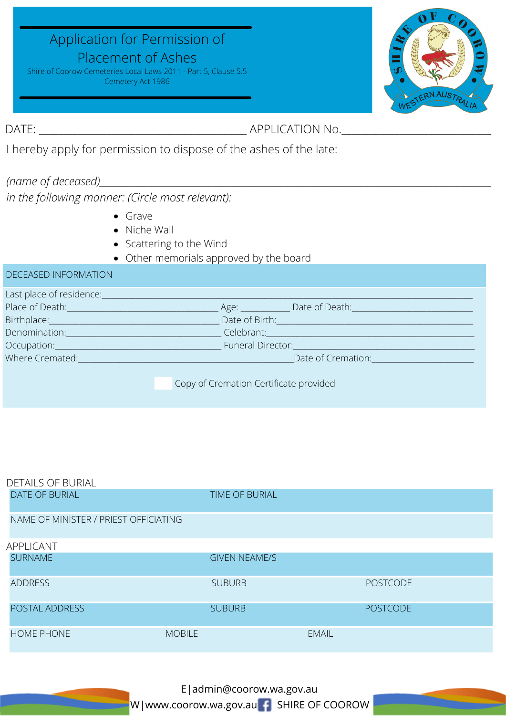## Application for Permission of

## Placement of Ashes

Shire of Coorow Cemeteries Local Laws 2011 - Part 5, Clause 5.5 Cemetery Act 1986



DATE: \_\_\_\_\_\_\_\_\_\_\_\_\_\_\_\_\_\_\_\_\_\_\_\_\_\_\_\_\_\_\_\_\_\_\_\_\_\_\_\_\_\_\_ APPLICATION No.\_\_\_\_\_\_\_\_\_\_\_\_\_\_\_\_\_\_\_\_\_\_\_\_\_\_\_\_\_\_\_

I hereby apply for permission to dispose of the ashes of the late:

## *(name of deceased)\_\_\_\_\_\_\_\_\_\_\_\_\_\_\_\_\_\_\_\_\_\_\_\_\_\_\_\_\_\_\_\_\_\_\_\_\_\_\_\_\_\_\_\_\_\_\_\_\_\_\_\_\_\_\_\_\_\_\_\_\_\_\_\_\_\_\_\_\_\_\_\_\_\_\_\_\_\_\_\_\_\_\_\_\_\_\_*

*in the following manner: (Circle most relevant):*

- Grave
- Niche Wall
- Scattering to the Wind
- Other memorials approved by the board

| <b>DECEASED INFORMATION</b>     |                                                                                                                                                                                                                                      |
|---------------------------------|--------------------------------------------------------------------------------------------------------------------------------------------------------------------------------------------------------------------------------------|
|                                 |                                                                                                                                                                                                                                      |
|                                 | Place of Death: <u>Contract Communication</u> Age: Contract Contract Death: Contract Contract Contract Contract Contract Contract Contract Contract Contract Contract Contract Contract Contract Contract Contract Contract Contrac  |
|                                 | Birthplace: Committee Committee Committee Committee Committee Committee Committee Committee Committee Committee                                                                                                                      |
|                                 | Denomination: Celebrant: Celebrant: Celebrant:                                                                                                                                                                                       |
|                                 | Occupation: Committee Committee Committee Committee Committee Committee Committee Committee Committee Committee                                                                                                                      |
| Where Cremated: Where Cremated: | Date of Cremation: <u>Internal and the property of the set of the set of the set of the set of the set of the set of the set of the set of the set of the set of the set of the set of the set of the set of the set of the set </u> |
|                                 |                                                                                                                                                                                                                                      |
|                                 | Copy of Cremation Certificate provided                                                                                                                                                                                               |

| <b>DETAILS OF BURIAL</b>              |                       |                 |
|---------------------------------------|-----------------------|-----------------|
| <b>DATE OF BURIAL</b>                 | <b>TIME OF BURIAL</b> |                 |
| NAME OF MINISTER / PRIEST OFFICIATING |                       |                 |
| APPLICANT                             |                       |                 |
| <b>SURNAME</b>                        | <b>GIVEN NEAME/S</b>  |                 |
| <b>ADDRESS</b>                        | <b>SUBURB</b>         | <b>POSTCODE</b> |
| POSTAL ADDRESS                        | <b>SUBURB</b>         | <b>POSTCODE</b> |
| <b>HOME PHONE</b>                     | <b>MOBILE</b>         | <b>EMAIL</b>    |